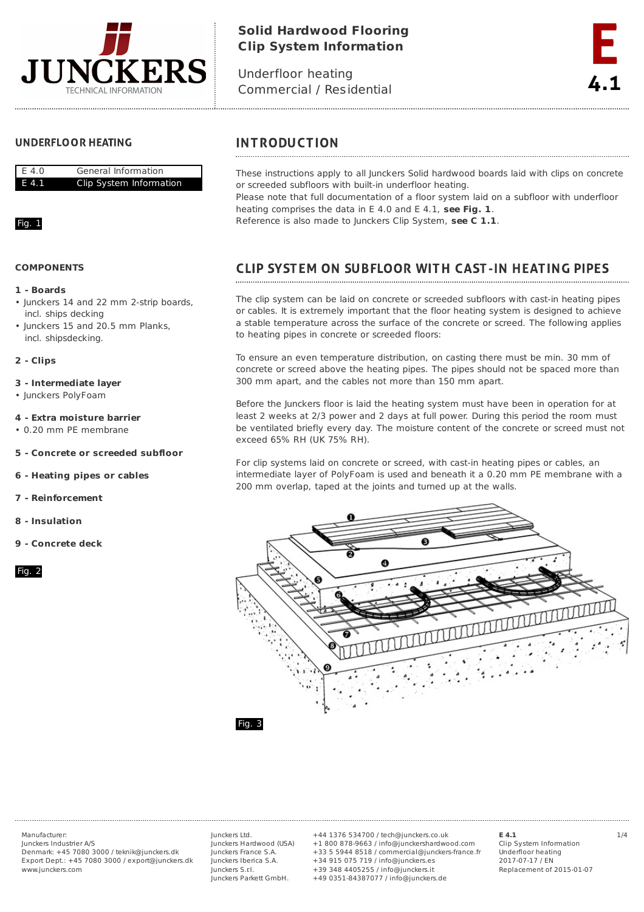

# **Solid Hardwood Flooring Clip System Information**

Underfloor heating Commercial / Residential



## **UNDERFLOOR HEATING**



### Fig. 1

### **COMPONENTS**

# **1 - Boards**

- Junckers 14 and 22 mm 2-strip boards, incl. ships decking
- Iunckers 15 and 20.5 mm Planks, incl. shipsdecking.

### **2 - Clips**

- **3 - Intermediate layer**
- Junckers PolyFoam
- **4 - Extra moisture barrier**
- 0.20 mm PE membrane
- **5 - Concrete or screeded subfloor**
- **6 - Heating pipes or cables**
- **7 - Reinforcement**
- **8 - Insulation**
- **9 - Concrete deck**

### Fig. 2

# **INTRODUCTION**

These instructions apply to all Junckers Solid hardwood boards laid with clips on concrete or screeded subfloors with built-in underfloor heating.

Please note that full documentation of a floor system laid on a subfloor with underfloor heating comprises the data in E 4.0 and E 4.1, **see Fig. 1**.

Reference is also made to Junckers Clip System, **see C 1.1**.

# **CLIP SYSTEM ON SUBFLOOR WITH CAST-IN HEATING PIPES**

The clip system can be laid on concrete or screeded subfloors with cast-in heating pipes or cables. It is extremely important that the floor heating system is designed to achieve a stable temperature across the surface of the concrete or screed. The following applies to heating pipes in concrete or screeded floors:

To ensure an even temperature distribution, on casting there must be min. 30 mm of concrete or screed above the heating pipes. The pipes should not be spaced more than 300 mm apart, and the cables not more than 150 mm apart.

Before the Junckers floor is laid the heating system must have been in operation for at least 2 weeks at 2/3 power and 2 days at full power. During this period the room must be ventilated briefly every day. The moisture content of the concrete or screed must not exceed 65% RH (UK 75% RH).

For clip systems laid on concrete or screed, with cast-in heating pipes or cables, an intermediate layer of PolyFoam is used and beneath it a 0.20 mm PE membrane with a 200 mm overlap, taped at the joints and turned up at the walls.



Junckers Industrier A/S Denmark: +45 7080 3000 / teknik@junckers.dk Export Dept.: +45 7080 3000 / export@junckers.dk www.junckers.com

Junckers Ltd. Junckers Hardwood (USA) Junckers France S.A. Junckers Iberica S.A. Junckers S.r.I. Junckers Parkett GmbH.

Manufacturer: Junckers Ltd. +44 1376 534700 / tech@junckers.co.uk **E 4.1** 1/4 +1 800 878-9663 / info@junckershardwood.com +33 5 5944 8518 / commercial@junckers-france.fr +34 915 075 719 / info@junckers.es +39 348 4405255 / info@junckers.it +49 0351-84387077 / info@junckers.de

**E 4.1**

Clip System Information Underfloor heating 2017-07-17 / EN Replacement of 2015-01-07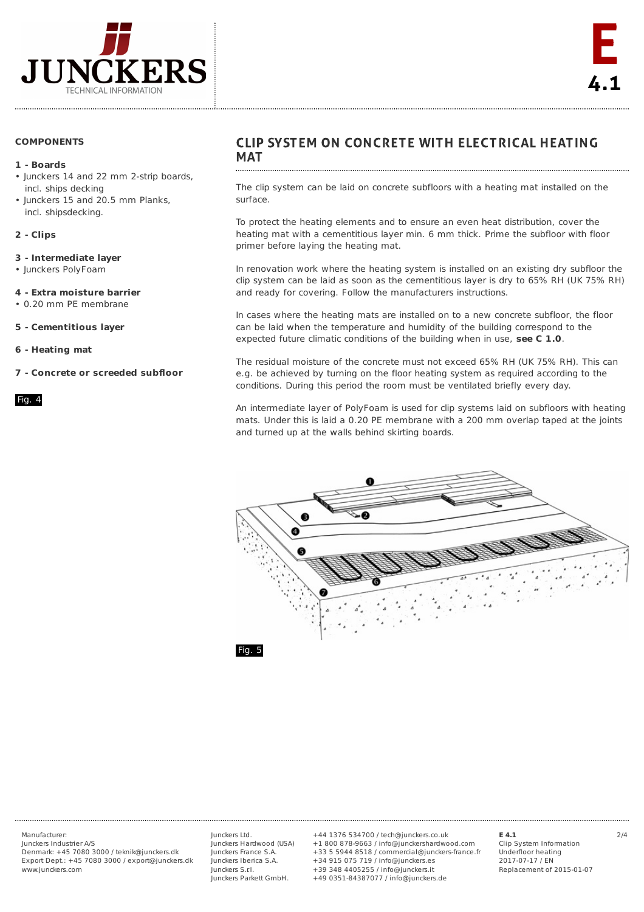

### **COMPONENTS**

### **1 - Boards**

- Junckers 14 and 22 mm 2-strip boards, incl. ships decking
- Junckers 15 and 20.5 mm Planks, incl. shipsdecking.

### **2 - Clips**

### **3 - Intermediate layer**

• Junckers PolyFoam

### **4 - Extra moisture barrier**

- 0.20 mm PE membrane
- **5 - Cementitious layer**
- **6 - Heating mat**
- **7 - Concrete or screeded subfloor**

#### Fig. 4

# CLIP SYSTEM ON CONCRETE WITH ELECTRICAL HEATING **MAT**

The clip system can be laid on concrete subfloors with a heating mat installed on the surface.

To protect the heating elements and to ensure an even heat distribution, cover the heating mat with a cementitious layer min. 6 mm thick. Prime the subfloor with floor primer before laying the heating mat.

In renovation work where the heating system is installed on an existing dry subfloor the clip system can be laid as soon as the cementitious layer is dry to 65% RH (UK 75% RH) and ready for covering. Follow the manufacturers instructions.

In cases where the heating mats are installed on to a new concrete subfloor, the floor can be laid when the temperature and humidity of the building correspond to the expected future climatic conditions of the building when in use, **see C 1.0**.

The residual moisture of the concrete must not exceed 65% RH (UK 75% RH). This can e.g. be achieved by turning on the floor heating system as required according to the conditions. During this period the room must be ventilated briefly every day.

An intermediate layer of PolyFoam is used for clip systems laid on subfloors with heating mats. Under this is laid a 0.20 PE membrane with a 200 mm overlap taped at the joints and turned up at the walls behind skirting boards.



Junckers Industrier A/S Denmark: +45 7080 3000 / teknik@junckers.dk Export Dept.: +45 7080 3000 / export@junckers.dk www.junckers.com

Junckers Ltd. Junckers Hardwood (USA) Junckers France S.A. Junckers Iberica S.A. Junckers S.r.I. Junckers Parkett GmbH.

Manufacturer: Junckers Ltd. +44 1376 534700 / tech@junckers.co.uk **E 4.1** 2/4 +1 800 878-9663 / info@junckershardwood.com +33 5 5944 8518 / commercial@junckers-france.fr +34 915 075 719 / info@junckers.es +39 348 4405255 / info@junckers.it +49 0351-84387077 / info@junckers.de

**E 4.1** Clip System Information Underfloor heating 2017-07-17 / EN Replacement of 2015-01-07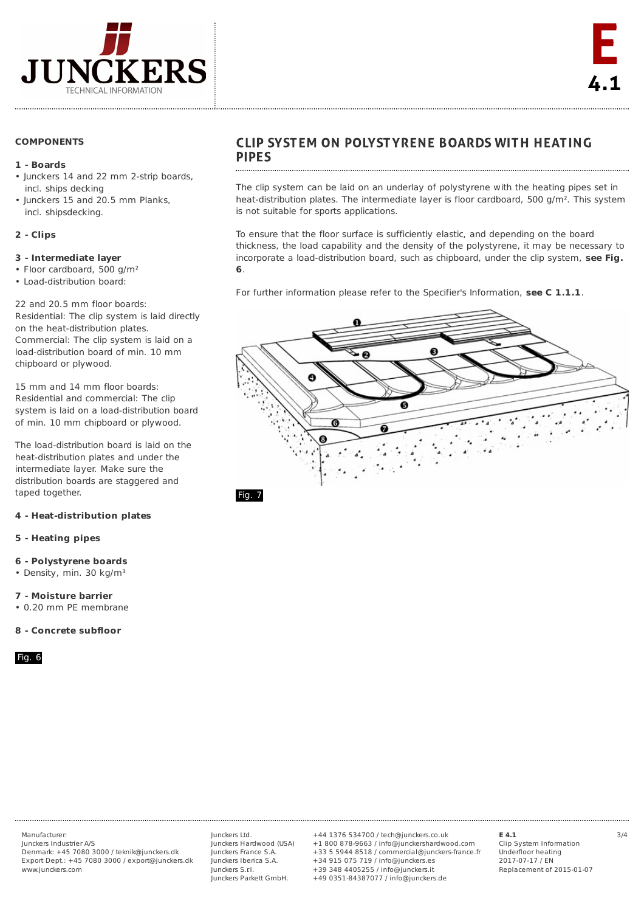

### **COMPONENTS**

### **1 - Boards**

- Junckers 14 and 22 mm 2-strip boards, incl. ships decking
- Junckers 15 and 20.5 mm Planks, incl. shipsdecking.

### **2 - Clips**

### **3 - Intermediate layer**

- Floor cardboard, 500 g/m²
- Load-distribution board:

22 and 20.5 mm floor boards: Residential: The clip system is laid directly on the heat-distribution plates. Commercial: The clip system is laid on a load-distribution board of min. 10 mm chipboard or plywood.

15 mm and 14 mm floor boards: Residential and commercial: The clip system is laid on a load-distribution board of min. 10 mm chipboard or plywood.

The load-distribution board is laid on the heat-distribution plates and under the intermediate layer. Make sure the distribution boards are staggered and taped together.

### **4 - Heat-distribution plates**

### **5 - Heating pipes**

#### **6 - Polystyrene boards**

• Density, min. 30 kg/m<sup>3</sup>

**7 - Moisture barrier**

• 0.20 mm PE membrane

### **8 - Concrete subfloor**

Fig. 6

# **CLIP SYSTEM ON POLYSTYRENE BOARDS WITH HEATING PIPES**

The clip system can be laid on an underlay of polystyrene with the heating pipes set in heat-distribution plates. The intermediate layer is floor cardboard, 500 g/m². This system is not suitable for sports applications.

To ensure that the floor surface is sufficiently elastic, and depending on the board thickness, the load capability and the density of the polystyrene, it may be necessary to incorporate a load-distribution board, such as chipboard, under the clip system, **see Fig. 6**.

For further information please refer to the Specifier's Information, **see C 1.1.1**.



Fig. 7

Junckers Industrier A/S Denmark: +45 7080 3000 / teknik@junckers.dk Export Dept.: +45 7080 3000 / export@junckers.dk www.junckers.com

Junckers Ltd. Junckers Hardwood (USA) Junckers France S.A. Junckers Iberica S.A. Junckers S.r.I. Junckers Parkett GmbH.

Manufacturer: Junckers Ltd. +44 1376 534700 / tech@junckers.co.uk **E 4.1** 3/4 +1 800 878-9663 / info@junckershardwood.com +33 5 5944 8518 / commercial@junckers-france.fr +34 915 075 719 / info@junckers.es +39 348 4405255 / info@junckers.it +49 0351-84387077 / info@junckers.de

**E 4.1**

Clip System Information Underfloor heating 2017-07-17 / EN Replacement of 2015-01-07